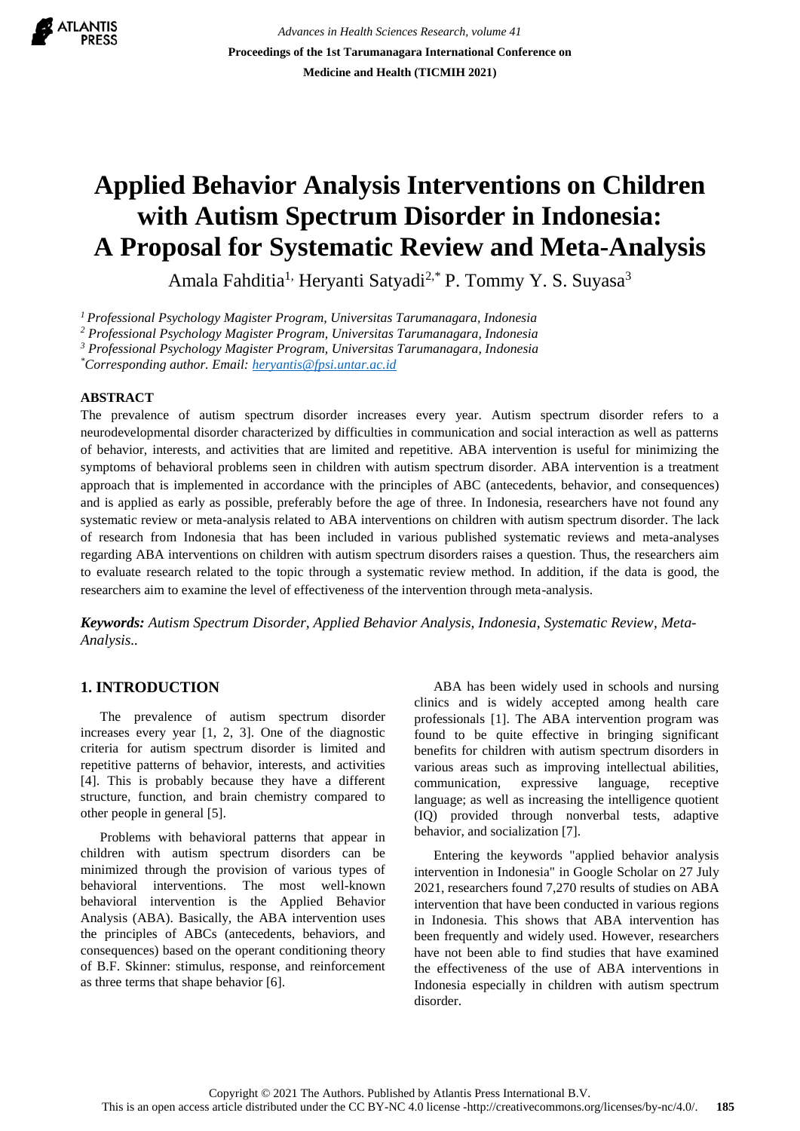

*Advances in Health Sciences Research, volume 41* **Proceedings of the 1st Tarumanagara International Conference on Medicine and Health (TICMIH 2021)**

# **Applied Behavior Analysis Interventions on Children with Autism Spectrum Disorder in Indonesia: A Proposal for Systematic Review and Meta-Analysis**

Amala Fahditia<sup>1,</sup> Heryanti Satyadi<sup>2,\*</sup> P. Tommy Y. S. Suyasa<sup>3</sup>

*<sup>1</sup>Professional Psychology Magister Program, Universitas Tarumanagara, Indonesia*

*<sup>2</sup> Professional Psychology Magister Program, Universitas Tarumanagara, Indonesia*

*<sup>3</sup> Professional Psychology Magister Program, Universitas Tarumanagara, Indonesia*

*\*Corresponding author. Email[: heryantis@fpsi.untar.ac.id](mailto:heryantis@fpsi.untar.ac.id)*

## **ABSTRACT**

The prevalence of autism spectrum disorder increases every year. Autism spectrum disorder refers to a neurodevelopmental disorder characterized by difficulties in communication and social interaction as well as patterns of behavior, interests, and activities that are limited and repetitive. ABA intervention is useful for minimizing the symptoms of behavioral problems seen in children with autism spectrum disorder. ABA intervention is a treatment approach that is implemented in accordance with the principles of ABC (antecedents, behavior, and consequences) and is applied as early as possible, preferably before the age of three. In Indonesia, researchers have not found any systematic review or meta-analysis related to ABA interventions on children with autism spectrum disorder. The lack of research from Indonesia that has been included in various published systematic reviews and meta-analyses regarding ABA interventions on children with autism spectrum disorders raises a question. Thus, the researchers aim to evaluate research related to the topic through a systematic review method. In addition, if the data is good, the researchers aim to examine the level of effectiveness of the intervention through meta-analysis.

*Keywords: Autism Spectrum Disorder, Applied Behavior Analysis, Indonesia, Systematic Review, Meta-Analysis..*

# **1. INTRODUCTION**

The prevalence of autism spectrum disorder increases every year [1, 2, 3]. One of the diagnostic criteria for autism spectrum disorder is limited and repetitive patterns of behavior, interests, and activities [4]. This is probably because they have a different structure, function, and brain chemistry compared to other people in general [5].

Problems with behavioral patterns that appear in children with autism spectrum disorders can be minimized through the provision of various types of behavioral interventions. The most well-known behavioral intervention is the Applied Behavior Analysis (ABA). Basically, the ABA intervention uses the principles of ABCs (antecedents, behaviors, and consequences) based on the operant conditioning theory of B.F. Skinner: stimulus, response, and reinforcement as three terms that shape behavior [6].

ABA has been widely used in schools and nursing clinics and is widely accepted among health care professionals [1]. The ABA intervention program was found to be quite effective in bringing significant benefits for children with autism spectrum disorders in various areas such as improving intellectual abilities, communication, expressive language, receptive language; as well as increasing the intelligence quotient (IQ) provided through nonverbal tests, adaptive behavior, and socialization [7].

Entering the keywords "applied behavior analysis intervention in Indonesia" in Google Scholar on 27 July 2021, researchers found 7,270 results of studies on ABA intervention that have been conducted in various regions in Indonesia. This shows that ABA intervention has been frequently and widely used. However, researchers have not been able to find studies that have examined the effectiveness of the use of ABA interventions in Indonesia especially in children with autism spectrum disorder.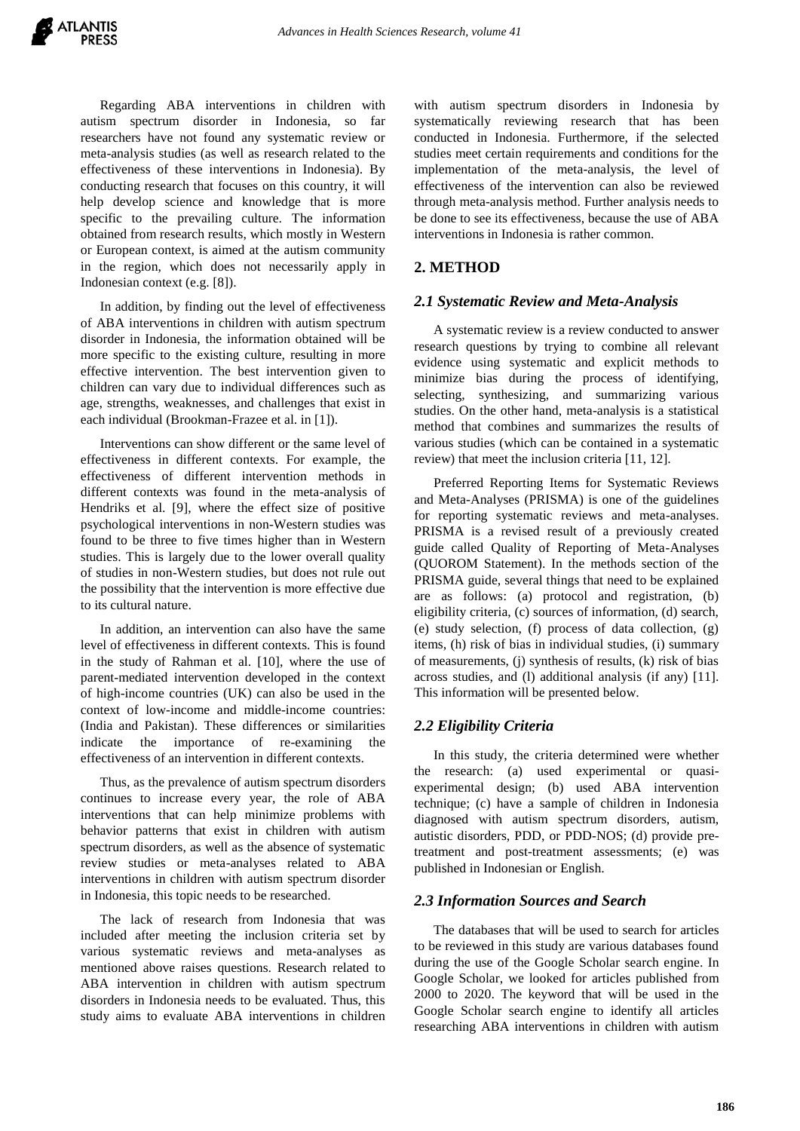Regarding ABA interventions in children with autism spectrum disorder in Indonesia, so far researchers have not found any systematic review or meta-analysis studies (as well as research related to the effectiveness of these interventions in Indonesia). By conducting research that focuses on this country, it will help develop science and knowledge that is more specific to the prevailing culture. The information obtained from research results, which mostly in Western or European context, is aimed at the autism community in the region, which does not necessarily apply in Indonesian context (e.g. [8]).

In addition, by finding out the level of effectiveness of ABA interventions in children with autism spectrum disorder in Indonesia, the information obtained will be more specific to the existing culture, resulting in more effective intervention. The best intervention given to children can vary due to individual differences such as age, strengths, weaknesses, and challenges that exist in each individual (Brookman-Frazee et al. in [1]).

Interventions can show different or the same level of effectiveness in different contexts. For example, the effectiveness of different intervention methods in different contexts was found in the meta-analysis of Hendriks et al. [9], where the effect size of positive psychological interventions in non-Western studies was found to be three to five times higher than in Western studies. This is largely due to the lower overall quality of studies in non-Western studies, but does not rule out the possibility that the intervention is more effective due to its cultural nature.

In addition, an intervention can also have the same level of effectiveness in different contexts. This is found in the study of Rahman et al. [10], where the use of parent-mediated intervention developed in the context of high-income countries (UK) can also be used in the context of low-income and middle-income countries: (India and Pakistan). These differences or similarities indicate the importance of re-examining the effectiveness of an intervention in different contexts.

Thus, as the prevalence of autism spectrum disorders continues to increase every year, the role of ABA interventions that can help minimize problems with behavior patterns that exist in children with autism spectrum disorders, as well as the absence of systematic review studies or meta-analyses related to ABA interventions in children with autism spectrum disorder in Indonesia, this topic needs to be researched.

The lack of research from Indonesia that was included after meeting the inclusion criteria set by various systematic reviews and meta-analyses as mentioned above raises questions. Research related to ABA intervention in children with autism spectrum disorders in Indonesia needs to be evaluated. Thus, this study aims to evaluate ABA interventions in children with autism spectrum disorders in Indonesia by systematically reviewing research that has been conducted in Indonesia. Furthermore, if the selected studies meet certain requirements and conditions for the implementation of the meta-analysis, the level of effectiveness of the intervention can also be reviewed through meta-analysis method. Further analysis needs to be done to see its effectiveness, because the use of ABA interventions in Indonesia is rather common.

# **2. METHOD**

## *2.1 Systematic Review and Meta-Analysis*

A systematic review is a review conducted to answer research questions by trying to combine all relevant evidence using systematic and explicit methods to minimize bias during the process of identifying, selecting, synthesizing, and summarizing various studies. On the other hand, meta-analysis is a statistical method that combines and summarizes the results of various studies (which can be contained in a systematic review) that meet the inclusion criteria [11, 12].

Preferred Reporting Items for Systematic Reviews and Meta-Analyses (PRISMA) is one of the guidelines for reporting systematic reviews and meta-analyses. PRISMA is a revised result of a previously created guide called Quality of Reporting of Meta-Analyses (QUOROM Statement). In the methods section of the PRISMA guide, several things that need to be explained are as follows: (a) protocol and registration, (b) eligibility criteria, (c) sources of information, (d) search, (e) study selection, (f) process of data collection, (g) items, (h) risk of bias in individual studies, (i) summary of measurements, (j) synthesis of results, (k) risk of bias across studies, and (l) additional analysis (if any) [11]. This information will be presented below.

# *2.2 Eligibility Criteria*

In this study, the criteria determined were whether the research: (a) used experimental or quasiexperimental design; (b) used ABA intervention technique; (c) have a sample of children in Indonesia diagnosed with autism spectrum disorders, autism, autistic disorders, PDD, or PDD-NOS; (d) provide pretreatment and post-treatment assessments; (e) was published in Indonesian or English.

#### *2.3 Information Sources and Search*

The databases that will be used to search for articles to be reviewed in this study are various databases found during the use of the Google Scholar search engine. In Google Scholar, we looked for articles published from 2000 to 2020. The keyword that will be used in the Google Scholar search engine to identify all articles researching ABA interventions in children with autism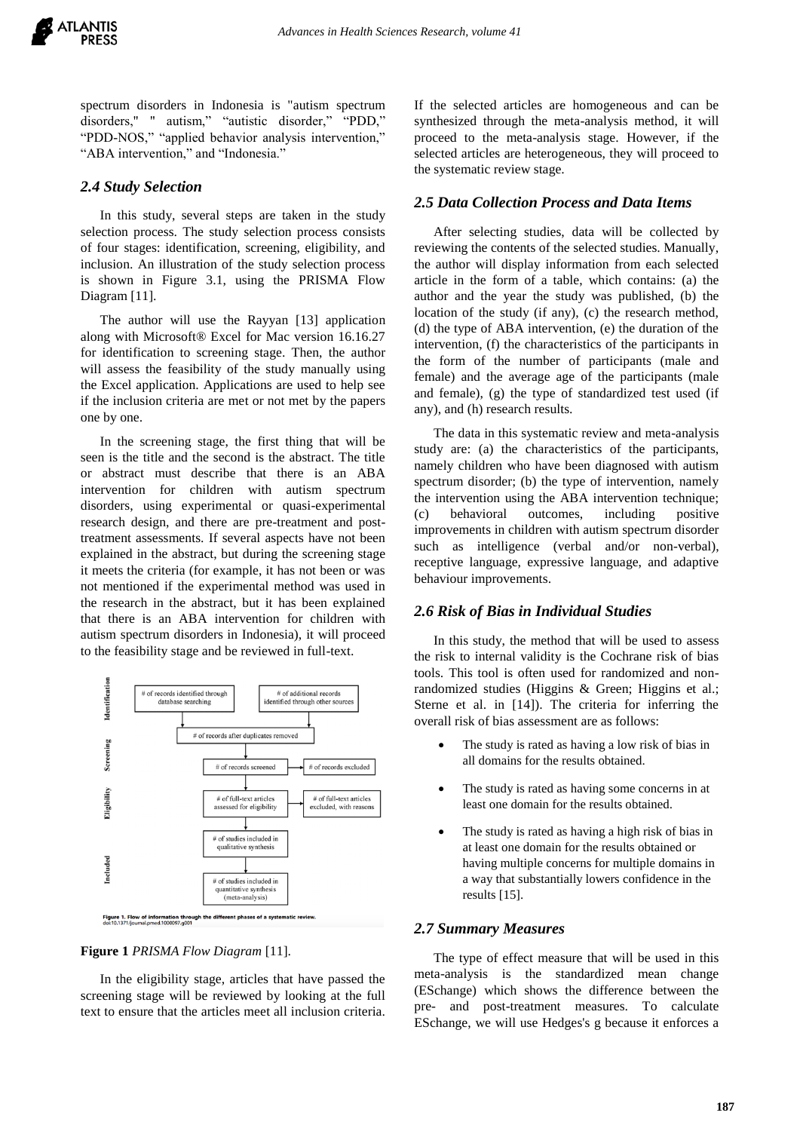spectrum disorders in Indonesia is "autism spectrum disorders," " autism," "autistic disorder," "PDD," "PDD-NOS," "applied behavior analysis intervention," "ABA intervention," and "Indonesia."

## *2.4 Study Selection*

In this study, several steps are taken in the study selection process. The study selection process consists of four stages: identification, screening, eligibility, and inclusion. An illustration of the study selection process is shown in Figure 3.1, using the PRISMA Flow Diagram [11].

The author will use the Rayyan [13] application along with Microsoft® Excel for Mac version 16.16.27 for identification to screening stage. Then, the author will assess the feasibility of the study manually using the Excel application. Applications are used to help see if the inclusion criteria are met or not met by the papers one by one.

In the screening stage, the first thing that will be seen is the title and the second is the abstract. The title or abstract must describe that there is an ABA intervention for children with autism spectrum disorders, using experimental or quasi-experimental research design, and there are pre-treatment and posttreatment assessments. If several aspects have not been explained in the abstract, but during the screening stage it meets the criteria (for example, it has not been or was not mentioned if the experimental method was used in the research in the abstract, but it has been explained that there is an ABA intervention for children with autism spectrum disorders in Indonesia), it will proceed to the feasibility stage and be reviewed in full-text.



#### **Figure 1** *PRISMA Flow Diagram* [11].

In the eligibility stage, articles that have passed the screening stage will be reviewed by looking at the full text to ensure that the articles meet all inclusion criteria.

If the selected articles are homogeneous and can be synthesized through the meta-analysis method, it will proceed to the meta-analysis stage. However, if the selected articles are heterogeneous, they will proceed to the systematic review stage.

### *2.5 Data Collection Process and Data Items*

After selecting studies, data will be collected by reviewing the contents of the selected studies. Manually, the author will display information from each selected article in the form of a table, which contains: (a) the author and the year the study was published, (b) the location of the study (if any), (c) the research method, (d) the type of ABA intervention, (e) the duration of the intervention, (f) the characteristics of the participants in the form of the number of participants (male and female) and the average age of the participants (male and female), (g) the type of standardized test used (if any), and (h) research results.

The data in this systematic review and meta-analysis study are: (a) the characteristics of the participants, namely children who have been diagnosed with autism spectrum disorder; (b) the type of intervention, namely the intervention using the ABA intervention technique; (c) behavioral outcomes, including positive improvements in children with autism spectrum disorder such as intelligence (verbal and/or non-verbal), receptive language, expressive language, and adaptive behaviour improvements.

## *2.6 Risk of Bias in Individual Studies*

In this study, the method that will be used to assess the risk to internal validity is the Cochrane risk of bias tools. This tool is often used for randomized and nonrandomized studies (Higgins & Green; Higgins et al.; Sterne et al. in [14]). The criteria for inferring the overall risk of bias assessment are as follows:

- The study is rated as having a low risk of bias in all domains for the results obtained.
- The study is rated as having some concerns in at least one domain for the results obtained.
- The study is rated as having a high risk of bias in at least one domain for the results obtained or having multiple concerns for multiple domains in a way that substantially lowers confidence in the results [15].

#### *2.7 Summary Measures*

The type of effect measure that will be used in this meta-analysis is the standardized mean change (ESchange) which shows the difference between the pre- and post-treatment measures. To calculate ESchange, we will use Hedges's g because it enforces a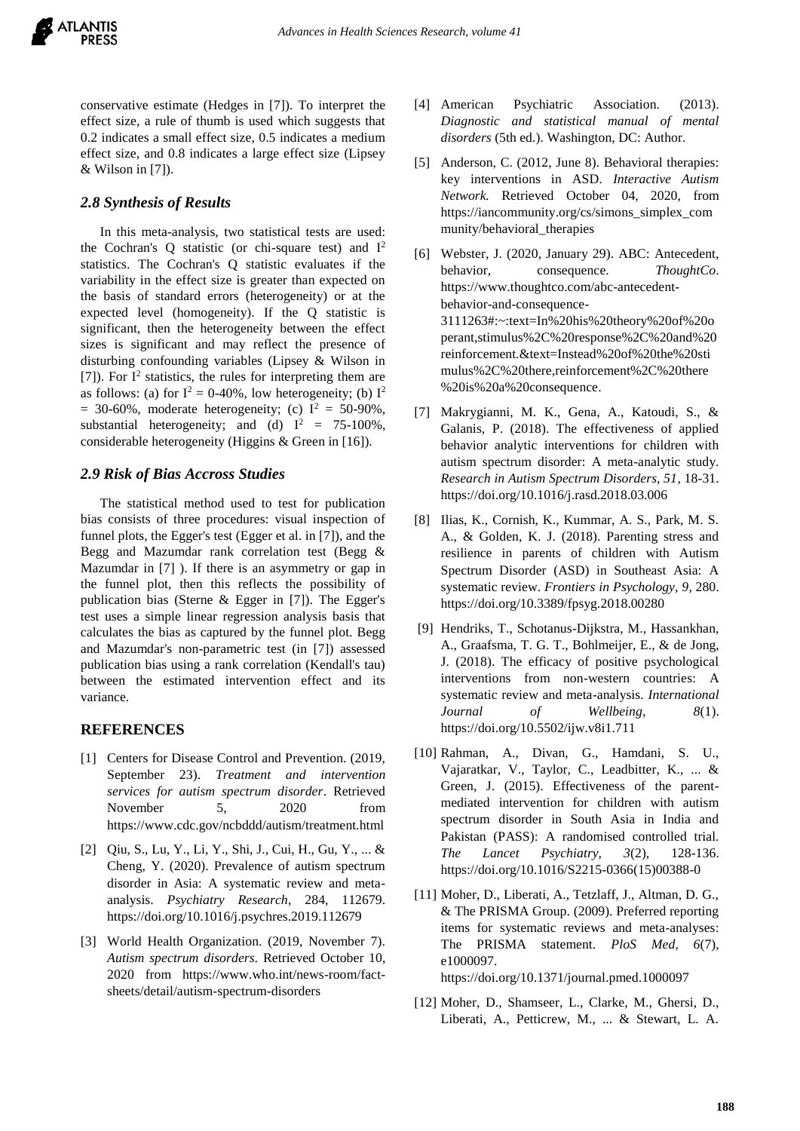conservative estimate (Hedges in [7]). To interpret the effect size, a rule of thumb is used which suggests that 0.2 indicates a small effect size, 0.5 indicates a medium effect size, and 0.8 indicates a large effect size (Lipsey & Wilson in [7]).

# *2.8 Synthesis of Results*

In this meta-analysis, two statistical tests are used: the Cochran's Q statistic (or chi-square test) and  $I^2$ statistics. The Cochran's Q statistic evaluates if the variability in the effect size is greater than expected on the basis of standard errors (heterogeneity) or at the expected level (homogeneity). If the Q statistic is significant, then the heterogeneity between the effect sizes is significant and may reflect the presence of disturbing confounding variables (Lipsey & Wilson in [7]). For  $I^2$  statistics, the rules for interpreting them are as follows: (a) for  $I^2 = 0-40\%$ , low heterogeneity; (b)  $I^2$  $= 30-60\%$ , moderate heterogeneity; (c)  $I^2 = 50-90\%$ , substantial heterogeneity; and (d)  $I^2 = 75-100\%$ , considerable heterogeneity (Higgins & Green in [16]).

# *2.9 Risk of Bias Accross Studies*

The statistical method used to test for publication bias consists of three procedures: visual inspection of funnel plots, the Egger's test (Egger et al. in [7]), and the Begg and Mazumdar rank correlation test (Begg & Mazumdar in [7] ). If there is an asymmetry or gap in the funnel plot, then this reflects the possibility of publication bias (Sterne & Egger in [7]). The Egger's test uses a simple linear regression analysis basis that calculates the bias as captured by the funnel plot. Begg and Mazumdar's non-parametric test (in [7]) assessed publication bias using a rank correlation (Kendall's tau) between the estimated intervention effect and its variance.

# **REFERENCES**

- [1] Centers for Disease Control and Prevention. (2019, September 23). *Treatment and intervention services for autism spectrum disorder*. Retrieved November 5, 2020 from https://www.cdc.gov/ncbddd/autism/treatment.html
- [2] Qiu, S., Lu, Y., Li, Y., Shi, J., Cui, H., Gu, Y., ... & Cheng, Y. (2020). Prevalence of autism spectrum disorder in Asia: A systematic review and metaanalysis. *Psychiatry Research*, 284, 112679. https://doi.org/10.1016/j.psychres.2019.112679
- [3] World Health Organization. (2019, November 7). *Autism spectrum disorders*. Retrieved October 10, 2020 from https://www.who.int/news-room/factsheets/detail/autism-spectrum-disorders
- [4] American Psychiatric Association. (2013). *Diagnostic and statistical manual of mental disorders* (5th ed.). Washington, DC: Author.
- [5] Anderson, C. (2012, June 8). Behavioral therapies: key interventions in ASD. *Interactive Autism Network.* Retrieved October 04, 2020, from https://iancommunity.org/cs/simons\_simplex\_com munity/behavioral\_therapies
- [6] Webster, J. (2020, January 29). ABC: Antecedent, behavior, consequence. *ThoughtCo*. [https://www.thoughtco.com/abc-antecedent](https://www.thoughtco.com/abc-antecedent-behavior-and-consequence-3111263#:~:text=In%20his%20theory%20of%20operant,stimulus%2C%20response%2C%20and%20reinforcement.&text=Instead%20of%20the%20stimulus%2C%20there,reinforcement%2C%20there%20is%20a%20consequence)[behavior-and-consequence-](https://www.thoughtco.com/abc-antecedent-behavior-and-consequence-3111263#:~:text=In%20his%20theory%20of%20operant,stimulus%2C%20response%2C%20and%20reinforcement.&text=Instead%20of%20the%20stimulus%2C%20there,reinforcement%2C%20there%20is%20a%20consequence)[3111263#:~:text=In%20his%20theory%20of%20o](https://www.thoughtco.com/abc-antecedent-behavior-and-consequence-3111263#:~:text=In%20his%20theory%20of%20operant,stimulus%2C%20response%2C%20and%20reinforcement.&text=Instead%20of%20the%20stimulus%2C%20there,reinforcement%2C%20there%20is%20a%20consequence) [perant,stimulus%2C%20response%2C%20and%20](https://www.thoughtco.com/abc-antecedent-behavior-and-consequence-3111263#:~:text=In%20his%20theory%20of%20operant,stimulus%2C%20response%2C%20and%20reinforcement.&text=Instead%20of%20the%20stimulus%2C%20there,reinforcement%2C%20there%20is%20a%20consequence) [reinforcement.&text=Instead%20of%20the%20sti](https://www.thoughtco.com/abc-antecedent-behavior-and-consequence-3111263#:~:text=In%20his%20theory%20of%20operant,stimulus%2C%20response%2C%20and%20reinforcement.&text=Instead%20of%20the%20stimulus%2C%20there,reinforcement%2C%20there%20is%20a%20consequence) [mulus%2C%20there,reinforcement%2C%20there](https://www.thoughtco.com/abc-antecedent-behavior-and-consequence-3111263#:~:text=In%20his%20theory%20of%20operant,stimulus%2C%20response%2C%20and%20reinforcement.&text=Instead%20of%20the%20stimulus%2C%20there,reinforcement%2C%20there%20is%20a%20consequence) [%20is%20a%20consequence.](https://www.thoughtco.com/abc-antecedent-behavior-and-consequence-3111263#:~:text=In%20his%20theory%20of%20operant,stimulus%2C%20response%2C%20and%20reinforcement.&text=Instead%20of%20the%20stimulus%2C%20there,reinforcement%2C%20there%20is%20a%20consequence)
- [7] Makrygianni, M. K., Gena, A., Katoudi, S., & Galanis, P. (2018). The effectiveness of applied behavior analytic interventions for children with autism spectrum disorder: A meta-analytic study. *Research in Autism Spectrum Disorders, 51*, 18-31. https://doi.org/10.1016/j.rasd.2018.03.006
- [8] Ilias, K., Cornish, K., Kummar, A. S., Park, M. S. A., & Golden, K. J. (2018). Parenting stress and resilience in parents of children with Autism Spectrum Disorder (ASD) in Southeast Asia: A systematic review. *Frontiers in Psychology, 9*, 280. https://doi.org/10.3389/fpsyg.2018.00280
- [9] Hendriks, T., Schotanus-Dijkstra, M., Hassankhan, A., Graafsma, T. G. T., Bohlmeijer, E., & de Jong, J. (2018). The efficacy of positive psychological interventions from non-western countries: A systematic review and meta-analysis. *International Journal of Wellbeing, 8*(1). https://doi.org/10.5502/ijw.v8i1.711
- [10] Rahman, A., Divan, G., Hamdani, S. U., Vajaratkar, V., Taylor, C., Leadbitter, K., ... & Green, J. (2015). Effectiveness of the parentmediated intervention for children with autism spectrum disorder in South Asia in India and Pakistan (PASS): A randomised controlled trial. *The Lancet Psychiatry, 3*(2), 128-136. https://doi.org/10.1016/S2215-0366(15)00388-0
- [11] Moher, D., Liberati, A., Tetzlaff, J., Altman, D. G., & The PRISMA Group. (2009). Preferred reporting items for systematic reviews and meta-analyses: The PRISMA statement. *PloS Med, 6*(7), e1000097. https://doi.org/10.1371/journal.pmed.1000097
- [12] Moher, D., Shamseer, L., Clarke, M., Ghersi, D., Liberati, A., Petticrew, M., ... & Stewart, L. A.